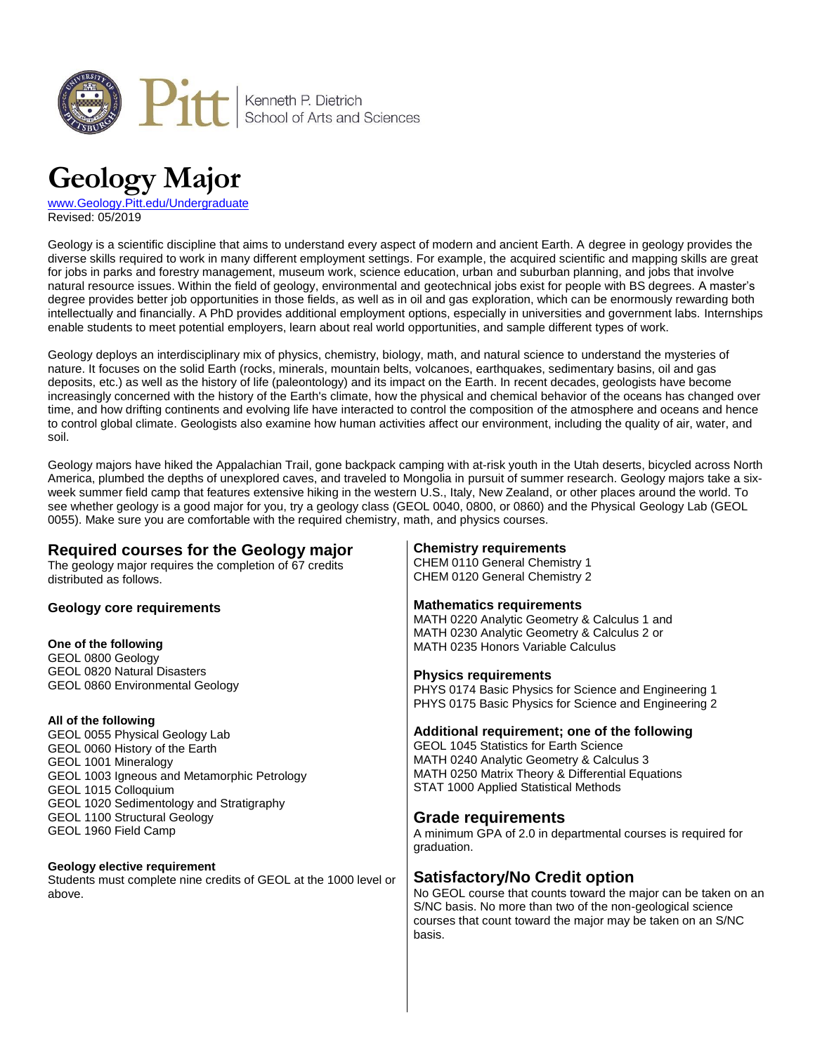

# **Geology Major**

[www.Geology.Pitt.edu/Undergraduate](http://www.geology.pitt.edu/undergraduate) Revised: 05/2019

Geology is a scientific discipline that aims to understand every aspect of modern and ancient Earth. A degree in geology provides the diverse skills required to work in many different employment settings. For example, the acquired scientific and mapping skills are great for jobs in parks and forestry management, museum work, science education, urban and suburban planning, and jobs that involve natural resource issues. Within the field of geology, environmental and geotechnical jobs exist for people with BS degrees. A master's degree provides better job opportunities in those fields, as well as in oil and gas exploration, which can be enormously rewarding both intellectually and financially. A PhD provides additional employment options, especially in universities and government labs. Internships enable students to meet potential employers, learn about real world opportunities, and sample different types of work.

Geology deploys an interdisciplinary mix of physics, chemistry, biology, math, and natural science to understand the mysteries of nature. It focuses on the solid Earth (rocks, minerals, mountain belts, volcanoes, earthquakes, sedimentary basins, oil and gas deposits, etc.) as well as the history of life (paleontology) and its impact on the Earth. In recent decades, geologists have become increasingly concerned with the history of the Earth's climate, how the physical and chemical behavior of the oceans has changed over time, and how drifting continents and evolving life have interacted to control the composition of the atmosphere and oceans and hence to control global climate. Geologists also examine how human activities affect our environment, including the quality of air, water, and soil.

Geology majors have hiked the Appalachian Trail, gone backpack camping with at-risk youth in the Utah deserts, bicycled across North America, plumbed the depths of unexplored caves, and traveled to Mongolia in pursuit of summer research. Geology majors take a sixweek summer field camp that features extensive hiking in the western U.S., Italy, New Zealand, or other places around the world. To see whether geology is a good major for you, try a geology class (GEOL 0040, 0800, or 0860) and the Physical Geology Lab (GEOL 0055). Make sure you are comfortable with the required chemistry, math, and physics courses.

### **Required courses for the Geology major** The geology major requires the completion of 67 credits

distributed as follows.

# **Geology core requirements**

### **One of the following**

GEOL 0800 Geology GEOL 0820 Natural Disasters GEOL 0860 Environmental Geology

### **All of the following**

GEOL 0055 Physical Geology Lab GEOL 0060 History of the Earth GEOL 1001 Mineralogy GEOL 1003 Igneous and Metamorphic Petrology GEOL 1015 Colloquium GEOL 1020 Sedimentology and Stratigraphy GEOL 1100 Structural Geology GEOL 1960 Field Camp

### **Geology elective requirement**

Students must complete nine credits of GEOL at the 1000 level or above.

# **Chemistry requirements**

CHEM 0110 General Chemistry 1 CHEM 0120 General Chemistry 2

# **Mathematics requirements**

MATH 0220 Analytic Geometry & Calculus 1 and MATH 0230 Analytic Geometry & Calculus 2 or MATH 0235 Honors Variable Calculus

### **Physics requirements**

PHYS 0174 Basic Physics for Science and Engineering 1 PHYS 0175 Basic Physics for Science and Engineering 2

# **Additional requirement; one of the following**

GEOL 1045 Statistics for Earth Science MATH 0240 Analytic Geometry & Calculus 3 MATH 0250 Matrix Theory & Differential Equations STAT 1000 Applied Statistical Methods

# **Grade requirements**

A minimum GPA of 2.0 in departmental courses is required for graduation.

# **Satisfactory/No Credit option**

No GEOL course that counts toward the major can be taken on an S/NC basis. No more than two of the non-geological science courses that count toward the major may be taken on an S/NC basis.